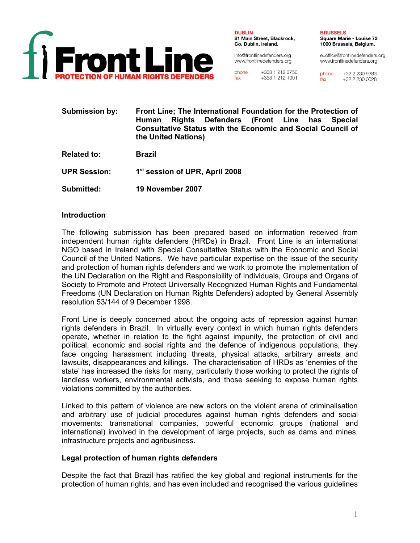



info@frontlinedefenders.org www.frontlinedefenders.org

+353 1 212 3750 phone fax  $+353$  1 212 1001 **BRUSSELS** Square Marie - Louise 72 1000 Brussels, Belgium.

euoffice@frontlinedefenders.org www.frontlinedefenders.org

phone +32 2 230 9383 fax +32 2 230 0028

**Submission by: Front Line; The International Foundation for the Protection of Human Rights Defenders (Front Line has Special Consultative Status with the Economic and Social Council of the United Nations)**

**Related to: Brazil**

**UPR Session: 1 st session of UPR, April 2008**

**Submitted: 19 November 2007**

## **Introduction**

The following submission has been prepared based on information received from independent human rights defenders (HRDs) in Brazil. Front Line is an international NGO based in Ireland with Special Consultative Status with the Economic and Social Council of the United Nations. We have particular expertise on the issue of the security and protection of human rights defenders and we work to promote the implementation of the UN Declaration on the Right and Responsibility of Individuals, Groups and Organs of Society to Promote and Protect Universally Recognized Human Rights and Fundamental Freedoms (UN Declaration on Human Rights Defenders) adopted by General Assembly resolution 53/144 of 9 December 1998.

Front Line is deeply concerned about the ongoing acts of repression against human rights defenders in Brazil. In virtually every context in which human rights defenders operate, whether in relation to the fight against impunity, the protection of civil and political, economic and social rights and the defence of indigenous populations, they face ongoing harassment including threats, physical attacks, arbitrary arrests and lawsuits, disappearances and killings. The characterisation of HRDs as 'enemies of the state' has increased the risks for many, particularly those working to protect the rights of landless workers, environmental activists, and those seeking to expose human rights violations committed by the authorities.

Linked to this pattern of violence are new actors on the violent arena of criminalisation and arbitrary use of judicial procedures against human rights defenders and social movements: transnational companies, powerful economic groups (national and international) involved in the development of large projects, such as dams and mines, infrastructure projects and agribusiness.

## **Legal protection of human rights defenders**

Despite the fact that Brazil has ratified the key global and regional instruments for the protection of human rights, and has even included and recognised the various guidelines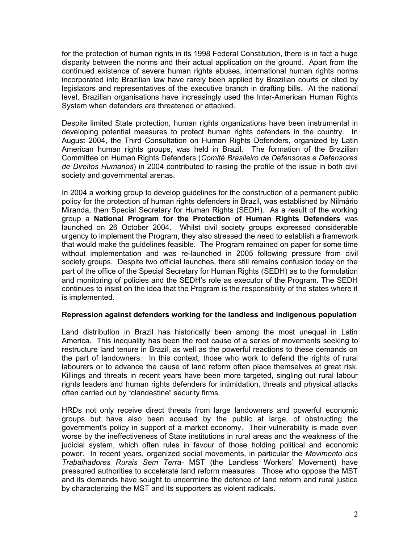for the protection of human rights in its 1998 Federal Constitution, there is in fact a huge disparity between the norms and their actual application on the ground. Apart from the continued existence of severe human rights abuses, international human rights norms incorporated into Brazilian law have rarely been applied by Brazilian courts or cited by legislators and representatives of the executive branch in drafting bills. At the national level, Brazilian organisations have increasingly used the Inter-American Human Rights System when defenders are threatened or attacked.

Despite limited State protection, human rights organizations have been instrumental in developing potential measures to protect human rights defenders in the country. In August 2004, the Third Consultation on Human Rights Defenders, organized by Latin American human rights groups, was held in Brazil. The formation of the Brazilian Committee on Human Rights Defenders (*Comitê Brasileiro de Defensoras e Defensores de Direitos Humanos*) in 2004 contributed to raising the profile of the issue in both civil society and governmental arenas.

In 2004 a working group to develop guidelines for the construction of a permanent public policy for the protection of human rights defenders in Brazil, was established by Nilmário Miranda, then Special Secretary for Human Rights (SEDH). As a result of the working group a **National Program for the Protection of Human Rights Defenders** was launched on 26 October 2004. Whilst civil society groups expressed considerable urgency to implement the Program, they also stressed the need to establish a framework that would make the guidelines feasible. The Program remained on paper for some time without implementation and was re-launched in 2005 following pressure from civil society groups. Despite two official launches, there still remains confusion today on the part of the office of the Special Secretary for Human Rights (SEDH) as to the formulation and monitoring of policies and the SEDH's role as executor of the Program. The SEDH continues to insist on the idea that the Program is the responsibility of the states where it is implemented.

## **Repression against defenders working for the landless and indigenous population**

Land distribution in Brazil has historically been among the most unequal in Latin America. This inequality has been the root cause of a series of movements seeking to restructure land tenure in Brazil, as well as the powerful reactions to these demands on the part of landowners. In this context, those who work to defend the rights of rural labourers or to advance the cause of land reform often place themselves at great risk. Killings and threats in recent years have been more targeted, singling out rural labour rights leaders and human rights defenders for intimidation, threats and physical attacks often carried out by "clandestine" security firms.

HRDs not only receive direct threats from large landowners and powerful economic groups but have also been accused by the public at large, of obstructing the government's policy in support of a market economy. Their vulnerability is made even worse by the ineffectiveness of State institutions in rural areas and the weakness of the judicial system, which often rules in favour of those holding political and economic power. In recent years, organized social movements, in particular the *Movimento dos Trabalhadores Rurais Sem Terra-* MST (the Landless Workers' Movement) have pressured authorities to accelerate land reform measures. Those who oppose the MST and its demands have sought to undermine the defence of land reform and rural justice by characterizing the MST and its supporters as violent radicals.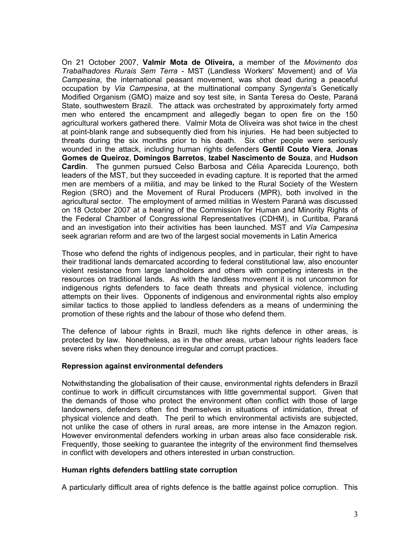On 21 October 2007, **Valmir Mota de Oliveira,** a member of the *Movimento dos Trabalhadores Rurais Sem Terra* - MST (Landless Workers' Movement) and of *Via Campesina*, the international peasant movement, was shot dead during a peaceful occupation by *Via Campesina*, at the multinational company *Syngenta*'s Genetically Modified Organism (GMO) maize and soy test site, in Santa Teresa do Oeste, Paraná State, southwestern Brazil. The attack was orchestrated by approximately forty armed men who entered the encampment and allegedly began to open fire on the 150 agricultural workers gathered there. Valmir Mota de Oliveira was shot twice in the chest at point-blank range and subsequently died from his injuries. He had been subjected to threats during the six months prior to his death. Six other people were seriously wounded in the attack, including human rights defenders **Gentil Couto Viera**, **Jonas Gomes de Queiroz**, **Domingos Barretos**, **Izabel Nascimento de Souza**, and **Hudson Cardin**. The gunmen pursued Celso Barbosa and Célia Aparecida Lourenço, both leaders of the MST, but they succeeded in evading capture. It is reported that the armed men are members of a militia, and may be linked to the Rural Society of the Western Region (SRO) and the Movement of Rural Producers (MPR), both involved in the agricultural sector. The employment of armed militias in Western Paraná was discussed on 18 October 2007 at a hearing of the Commission for Human and Minority Rights of the Federal Chamber of Congressional Representatives (CDHM), in Curitiba, Paraná and an investigation into their activities has been launched. MST and *Vía Campesina* seek agrarian reform and are two of the largest social movements in Latin America

Those who defend the rights of indigenous peoples, and in particular, their right to have their traditional lands demarcated according to federal constitutional law, also encounter violent resistance from large landholders and others with competing interests in the resources on traditional lands. As with the landless movement it is not uncommon for indigenous rights defenders to face death threats and physical violence, including attempts on their lives. Opponents of indigenous and environmental rights also employ similar tactics to those applied to landless defenders as a means of undermining the promotion of these rights and the labour of those who defend them.

The defence of labour rights in Brazil, much like rights defence in other areas, is protected by law. Nonetheless, as in the other areas, urban labour rights leaders face severe risks when they denounce irregular and corrupt practices.

## **Repression against environmental defenders**

Notwithstanding the globalisation of their cause, environmental rights defenders in Brazil continue to work in difficult circumstances with little governmental support. Given that the demands of those who protect the environment often conflict with those of large landowners, defenders often find themselves in situations of intimidation, threat of physical violence and death. The peril to which environmental activists are subjected, not unlike the case of others in rural areas, are more intense in the Amazon region. However environmental defenders working in urban areas also face considerable risk. Frequently, those seeking to guarantee the integrity of the environment find themselves in conflict with developers and others interested in urban construction.

## **Human rights defenders battling state corruption**

A particularly difficult area of rights defence is the battle against police corruption. This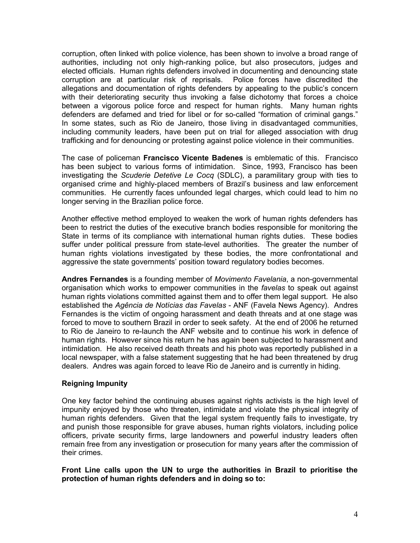corruption, often linked with police violence, has been shown to involve a broad range of authorities, including not only high-ranking police, but also prosecutors, judges and elected officials. Human rights defenders involved in documenting and denouncing state corruption are at particular risk of reprisals. Police forces have discredited the allegations and documentation of rights defenders by appealing to the public's concern with their deteriorating security thus invoking a false dichotomy that forces a choice between a vigorous police force and respect for human rights. Many human rights defenders are defamed and tried for libel or for so-called "formation of criminal gangs." In some states, such as Rio de Janeiro, those living in disadvantaged communities, including community leaders, have been put on trial for alleged association with drug trafficking and for denouncing or protesting against police violence in their communities.

The case of policeman **Francisco Vicente Badenes** is emblematic of this. Francisco has been subject to various forms of intimidation. Since, 1993, Francisco has been investigating the *Scuderie Detetive Le Cocq* (SDLC), a paramilitary group with ties to organised crime and highly-placed members of Brazil's business and law enforcement communities. He currently faces unfounded legal charges, which could lead to him no longer serving in the Brazilian police force.

Another effective method employed to weaken the work of human rights defenders has been to restrict the duties of the executive branch bodies responsible for monitoring the State in terms of its compliance with international human rights duties. These bodies suffer under political pressure from state-level authorities. The greater the number of human rights violations investigated by these bodies, the more confrontational and aggressive the state governments' position toward regulatory bodies becomes.

**Andres Fernandes** is a founding member of *Movimento Favelania*, a non-governmental organisation which works to empower communities in the *favelas* to speak out against human rights violations committed against them and to offer them legal support. He also established the *Agência de Notícias das Favelas* - ANF (Favela News Agency). Andres Fernandes is the victim of ongoing harassment and death threats and at one stage was forced to move to southern Brazil in order to seek safety. At the end of 2006 he returned to Rio de Janeiro to re-launch the ANF website and to continue his work in defence of human rights. However since his return he has again been subjected to harassment and intimidation. He also received death threats and his photo was reportedly published in a local newspaper, with a false statement suggesting that he had been threatened by drug dealers. Andres was again forced to leave Rio de Janeiro and is currently in hiding.

# **Reigning Impunity**

One key factor behind the continuing abuses against rights activists is the high level of impunity enjoyed by those who threaten, intimidate and violate the physical integrity of human rights defenders. Given that the legal system frequently fails to investigate, try and punish those responsible for grave abuses, human rights violators, including police officers, private security firms, large landowners and powerful industry leaders often remain free from any investigation or prosecution for many years after the commission of their crimes.

**Front Line calls upon the UN to urge the authorities in Brazil to prioritise the protection of human rights defenders and in doing so to:**